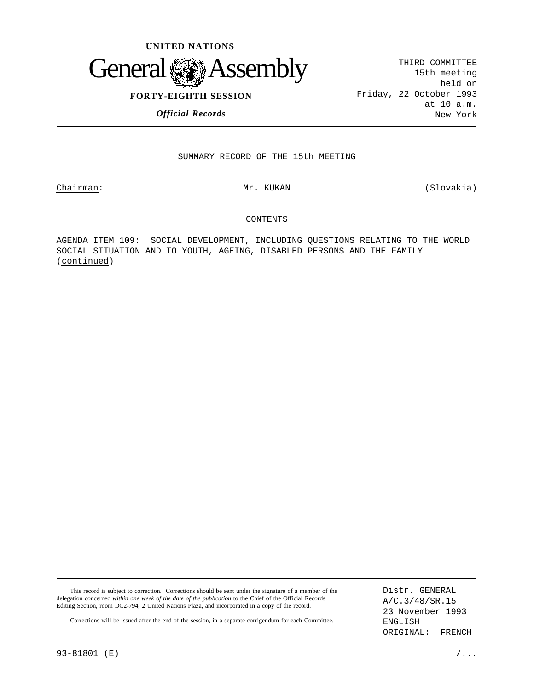

THIRD COMMITTEE 15th meeting held on Friday, 22 October 1993 at 10 a.m. New York

*Official Records*

# SUMMARY RECORD OF THE 15th MEETING

Chairman: Mr. KUKAN Missouri (Slovakia)

#### CONTENTS

AGENDA ITEM 109: SOCIAL DEVELOPMENT, INCLUDING QUESTIONS RELATING TO THE WORLD SOCIAL SITUATION AND TO YOUTH, AGEING, DISABLED PERSONS AND THE FAMILY (continued)

This record is subject to correction. Corrections should be sent under the signature of a member of the delegation concerned *within one week of the date of the publication* to the Chief of the Official Records Editing Section, room DC2-794, 2 United Nations Plaza, and incorporated in a copy of the record.

Distr. GENERAL A/C.3/48/SR.15 23 November 1993 ENGLISH ORIGINAL: FRENCH

Corrections will be issued after the end of the session, in a separate corrigendum for each Committee.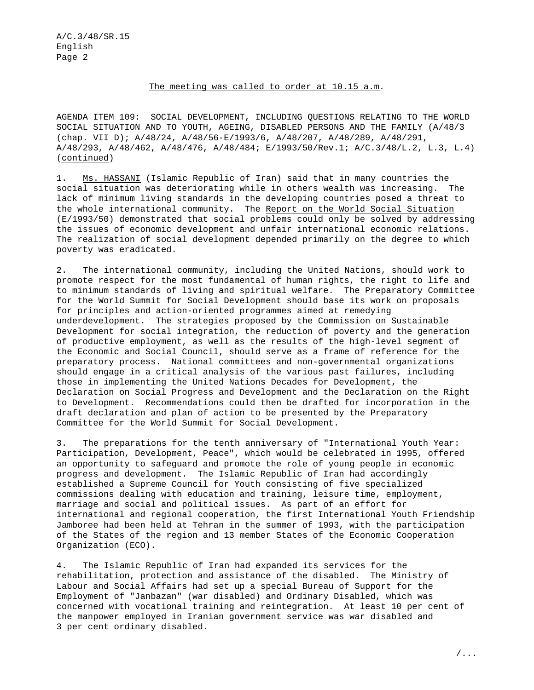#### The meeting was called to order at 10.15 a.m.

AGENDA ITEM 109: SOCIAL DEVELOPMENT, INCLUDING QUESTIONS RELATING TO THE WORLD SOCIAL SITUATION AND TO YOUTH, AGEING, DISABLED PERSONS AND THE FAMILY (A/48/3 (chap. VII D); A/48/24, A/48/56-E/1993/6, A/48/207, A/48/289, A/48/291, A/48/293, A/48/462, A/48/476, A/48/484; E/1993/50/Rev.1; A/C.3/48/L.2, L.3, L.4) (continued)

1. Ms. HASSANI (Islamic Republic of Iran) said that in many countries the social situation was deteriorating while in others wealth was increasing. The lack of minimum living standards in the developing countries posed a threat to the whole international community. The Report on the World Social Situation (E/1993/50) demonstrated that social problems could only be solved by addressing the issues of economic development and unfair international economic relations. The realization of social development depended primarily on the degree to which poverty was eradicated.

2. The international community, including the United Nations, should work to promote respect for the most fundamental of human rights, the right to life and to minimum standards of living and spiritual welfare. The Preparatory Committee for the World Summit for Social Development should base its work on proposals for principles and action-oriented programmes aimed at remedying underdevelopment. The strategies proposed by the Commission on Sustainable Development for social integration, the reduction of poverty and the generation of productive employment, as well as the results of the high-level segment of the Economic and Social Council, should serve as a frame of reference for the preparatory process. National committees and non-governmental organizations should engage in a critical analysis of the various past failures, including those in implementing the United Nations Decades for Development, the Declaration on Social Progress and Development and the Declaration on the Right to Development. Recommendations could then be drafted for incorporation in the draft declaration and plan of action to be presented by the Preparatory Committee for the World Summit for Social Development.

3. The preparations for the tenth anniversary of "International Youth Year: Participation, Development, Peace", which would be celebrated in 1995, offered an opportunity to safeguard and promote the role of young people in economic progress and development. The Islamic Republic of Iran had accordingly established a Supreme Council for Youth consisting of five specialized commissions dealing with education and training, leisure time, employment, marriage and social and political issues. As part of an effort for international and regional cooperation, the first International Youth Friendship Jamboree had been held at Tehran in the summer of 1993, with the participation of the States of the region and 13 member States of the Economic Cooperation Organization (ECO).

4. The Islamic Republic of Iran had expanded its services for the rehabilitation, protection and assistance of the disabled. The Ministry of Labour and Social Affairs had set up a special Bureau of Support for the Employment of "Janbazan" (war disabled) and Ordinary Disabled, which was concerned with vocational training and reintegration. At least 10 per cent of the manpower employed in Iranian government service was war disabled and 3 per cent ordinary disabled.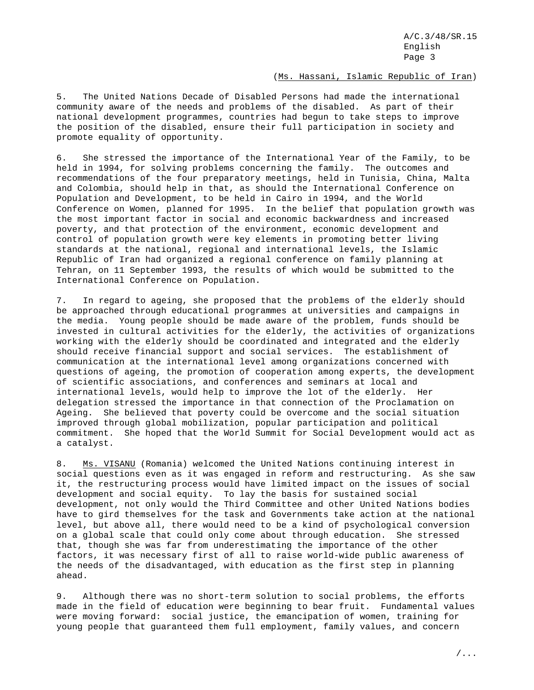## (Ms. Hassani, Islamic Republic of Iran)

5. The United Nations Decade of Disabled Persons had made the international community aware of the needs and problems of the disabled. As part of their national development programmes, countries had begun to take steps to improve the position of the disabled, ensure their full participation in society and promote equality of opportunity.

6. She stressed the importance of the International Year of the Family, to be held in 1994, for solving problems concerning the family. The outcomes and recommendations of the four preparatory meetings, held in Tunisia, China, Malta and Colombia, should help in that, as should the International Conference on Population and Development, to be held in Cairo in 1994, and the World Conference on Women, planned for 1995. In the belief that population growth was the most important factor in social and economic backwardness and increased poverty, and that protection of the environment, economic development and control of population growth were key elements in promoting better living standards at the national, regional and international levels, the Islamic Republic of Iran had organized a regional conference on family planning at Tehran, on 11 September 1993, the results of which would be submitted to the International Conference on Population.

7. In regard to ageing, she proposed that the problems of the elderly should be approached through educational programmes at universities and campaigns in the media. Young people should be made aware of the problem, funds should be invested in cultural activities for the elderly, the activities of organizations working with the elderly should be coordinated and integrated and the elderly should receive financial support and social services. The establishment of communication at the international level among organizations concerned with questions of ageing, the promotion of cooperation among experts, the development of scientific associations, and conferences and seminars at local and international levels, would help to improve the lot of the elderly. Her delegation stressed the importance in that connection of the Proclamation on Ageing. She believed that poverty could be overcome and the social situation improved through global mobilization, popular participation and political commitment. She hoped that the World Summit for Social Development would act as a catalyst.

8. Ms. VISANU (Romania) welcomed the United Nations continuing interest in social questions even as it was engaged in reform and restructuring. As she saw it, the restructuring process would have limited impact on the issues of social development and social equity. To lay the basis for sustained social development, not only would the Third Committee and other United Nations bodies have to gird themselves for the task and Governments take action at the national level, but above all, there would need to be a kind of psychological conversion on a global scale that could only come about through education. She stressed that, though she was far from underestimating the importance of the other factors, it was necessary first of all to raise world-wide public awareness of the needs of the disadvantaged, with education as the first step in planning ahead.

9. Although there was no short-term solution to social problems, the efforts made in the field of education were beginning to bear fruit. Fundamental values were moving forward: social justice, the emancipation of women, training for young people that guaranteed them full employment, family values, and concern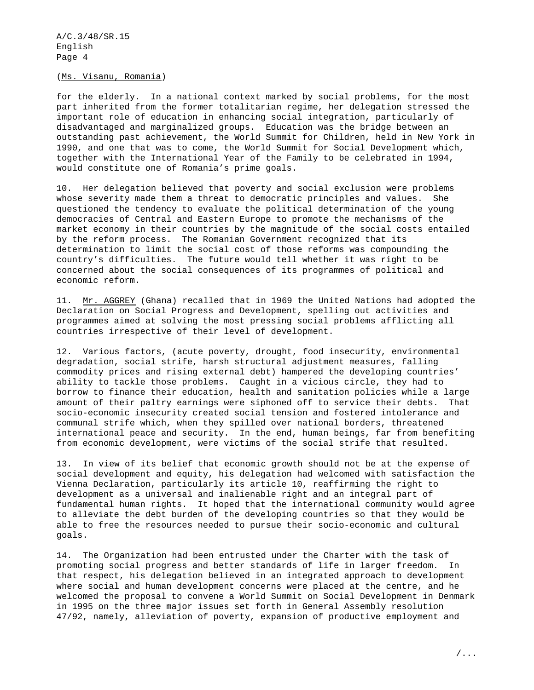(Ms. Visanu, Romania)

for the elderly. In a national context marked by social problems, for the most part inherited from the former totalitarian regime, her delegation stressed the important role of education in enhancing social integration, particularly of disadvantaged and marginalized groups. Education was the bridge between an outstanding past achievement, the World Summit for Children, held in New York in 1990, and one that was to come, the World Summit for Social Development which, together with the International Year of the Family to be celebrated in 1994, would constitute one of Romania's prime goals.

10. Her delegation believed that poverty and social exclusion were problems whose severity made them a threat to democratic principles and values. She questioned the tendency to evaluate the political determination of the young democracies of Central and Eastern Europe to promote the mechanisms of the market economy in their countries by the magnitude of the social costs entailed by the reform process. The Romanian Government recognized that its determination to limit the social cost of those reforms was compounding the country's difficulties. The future would tell whether it was right to be concerned about the social consequences of its programmes of political and economic reform.

11. Mr. AGGREY (Ghana) recalled that in 1969 the United Nations had adopted the Declaration on Social Progress and Development, spelling out activities and programmes aimed at solving the most pressing social problems afflicting all countries irrespective of their level of development.

12. Various factors, (acute poverty, drought, food insecurity, environmental degradation, social strife, harsh structural adjustment measures, falling commodity prices and rising external debt) hampered the developing countries' ability to tackle those problems. Caught in a vicious circle, they had to borrow to finance their education, health and sanitation policies while a large amount of their paltry earnings were siphoned off to service their debts. That socio-economic insecurity created social tension and fostered intolerance and communal strife which, when they spilled over national borders, threatened international peace and security. In the end, human beings, far from benefiting from economic development, were victims of the social strife that resulted.

13. In view of its belief that economic growth should not be at the expense of social development and equity, his delegation had welcomed with satisfaction the Vienna Declaration, particularly its article 10, reaffirming the right to development as a universal and inalienable right and an integral part of fundamental human rights. It hoped that the international community would agree to alleviate the debt burden of the developing countries so that they would be able to free the resources needed to pursue their socio-economic and cultural goals.

14. The Organization had been entrusted under the Charter with the task of promoting social progress and better standards of life in larger freedom. In that respect, his delegation believed in an integrated approach to development where social and human development concerns were placed at the centre, and he welcomed the proposal to convene a World Summit on Social Development in Denmark in 1995 on the three major issues set forth in General Assembly resolution 47/92, namely, alleviation of poverty, expansion of productive employment and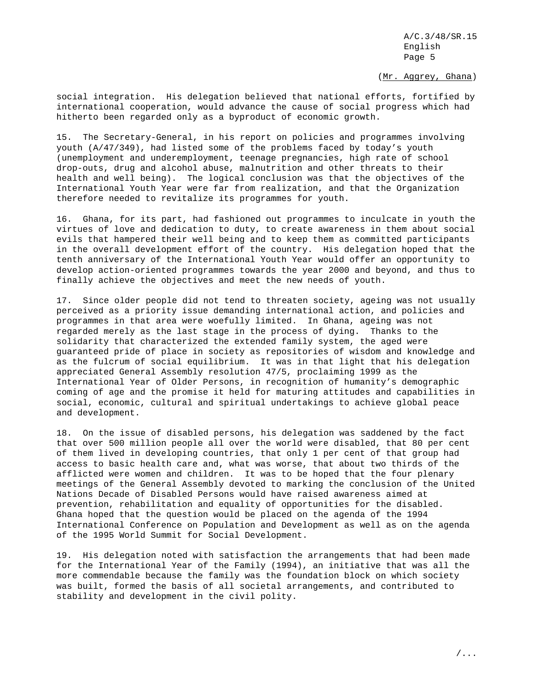(Mr. Aggrey, Ghana)

social integration. His delegation believed that national efforts, fortified by international cooperation, would advance the cause of social progress which had hitherto been regarded only as a byproduct of economic growth.

15. The Secretary-General, in his report on policies and programmes involving youth (A/47/349), had listed some of the problems faced by today's youth (unemployment and underemployment, teenage pregnancies, high rate of school drop-outs, drug and alcohol abuse, malnutrition and other threats to their health and well being). The logical conclusion was that the objectives of the International Youth Year were far from realization, and that the Organization therefore needed to revitalize its programmes for youth.

16. Ghana, for its part, had fashioned out programmes to inculcate in youth the virtues of love and dedication to duty, to create awareness in them about social evils that hampered their well being and to keep them as committed participants in the overall development effort of the country. His delegation hoped that the tenth anniversary of the International Youth Year would offer an opportunity to develop action-oriented programmes towards the year 2000 and beyond, and thus to finally achieve the objectives and meet the new needs of youth.

17. Since older people did not tend to threaten society, ageing was not usually perceived as a priority issue demanding international action, and policies and programmes in that area were woefully limited. In Ghana, ageing was not regarded merely as the last stage in the process of dying. Thanks to the solidarity that characterized the extended family system, the aged were guaranteed pride of place in society as repositories of wisdom and knowledge and as the fulcrum of social equilibrium. It was in that light that his delegation appreciated General Assembly resolution 47/5, proclaiming 1999 as the International Year of Older Persons, in recognition of humanity's demographic coming of age and the promise it held for maturing attitudes and capabilities in social, economic, cultural and spiritual undertakings to achieve global peace and development.

18. On the issue of disabled persons, his delegation was saddened by the fact that over 500 million people all over the world were disabled, that 80 per cent of them lived in developing countries, that only 1 per cent of that group had access to basic health care and, what was worse, that about two thirds of the afflicted were women and children. It was to be hoped that the four plenary meetings of the General Assembly devoted to marking the conclusion of the United Nations Decade of Disabled Persons would have raised awareness aimed at prevention, rehabilitation and equality of opportunities for the disabled. Ghana hoped that the question would be placed on the agenda of the 1994 International Conference on Population and Development as well as on the agenda of the 1995 World Summit for Social Development.

19. His delegation noted with satisfaction the arrangements that had been made for the International Year of the Family (1994), an initiative that was all the more commendable because the family was the foundation block on which society was built, formed the basis of all societal arrangements, and contributed to stability and development in the civil polity.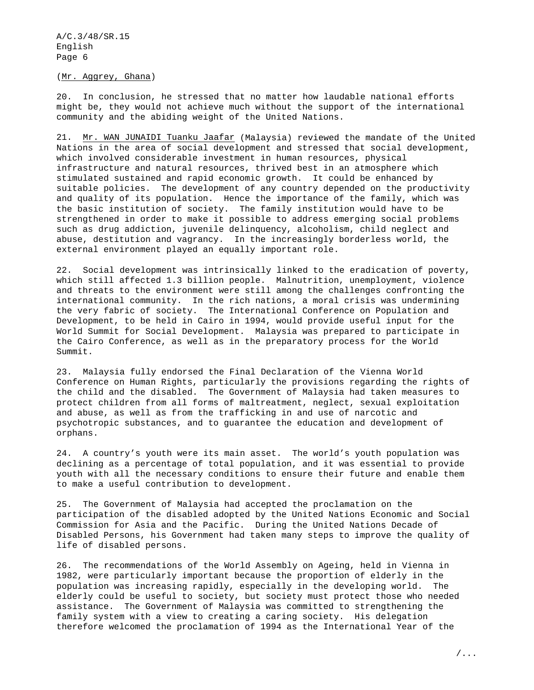(Mr. Aggrey, Ghana)

20. In conclusion, he stressed that no matter how laudable national efforts might be, they would not achieve much without the support of the international community and the abiding weight of the United Nations.

21. Mr. WAN JUNAIDI Tuanku Jaafar (Malaysia) reviewed the mandate of the United Nations in the area of social development and stressed that social development, which involved considerable investment in human resources, physical infrastructure and natural resources, thrived best in an atmosphere which stimulated sustained and rapid economic growth. It could be enhanced by suitable policies. The development of any country depended on the productivity and quality of its population. Hence the importance of the family, which was the basic institution of society. The family institution would have to be strengthened in order to make it possible to address emerging social problems such as drug addiction, juvenile delinquency, alcoholism, child neglect and abuse, destitution and vagrancy. In the increasingly borderless world, the external environment played an equally important role.

22. Social development was intrinsically linked to the eradication of poverty, which still affected 1.3 billion people. Malnutrition, unemployment, violence and threats to the environment were still among the challenges confronting the international community. In the rich nations, a moral crisis was undermining the very fabric of society. The International Conference on Population and Development, to be held in Cairo in 1994, would provide useful input for the World Summit for Social Development. Malaysia was prepared to participate in the Cairo Conference, as well as in the preparatory process for the World Summit.

23. Malaysia fully endorsed the Final Declaration of the Vienna World Conference on Human Rights, particularly the provisions regarding the rights of the child and the disabled. The Government of Malaysia had taken measures to protect children from all forms of maltreatment, neglect, sexual exploitation and abuse, as well as from the trafficking in and use of narcotic and psychotropic substances, and to guarantee the education and development of orphans.

24. A country's youth were its main asset. The world's youth population was declining as a percentage of total population, and it was essential to provide youth with all the necessary conditions to ensure their future and enable them to make a useful contribution to development.

25. The Government of Malaysia had accepted the proclamation on the participation of the disabled adopted by the United Nations Economic and Social Commission for Asia and the Pacific. During the United Nations Decade of Disabled Persons, his Government had taken many steps to improve the quality of life of disabled persons.

26. The recommendations of the World Assembly on Ageing, held in Vienna in 1982, were particularly important because the proportion of elderly in the population was increasing rapidly, especially in the developing world. The elderly could be useful to society, but society must protect those who needed assistance. The Government of Malaysia was committed to strengthening the family system with a view to creating a caring society. His delegation therefore welcomed the proclamation of 1994 as the International Year of the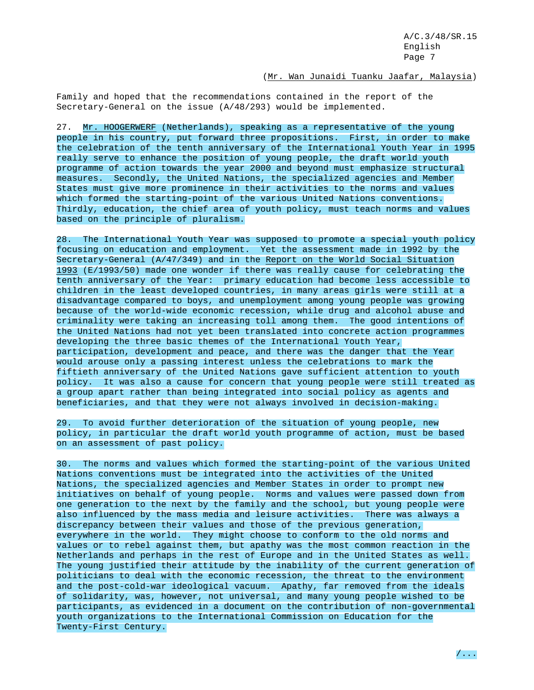# (Mr. Wan Junaidi Tuanku Jaafar, Malaysia)

Family and hoped that the recommendations contained in the report of the Secretary-General on the issue (A/48/293) would be implemented.

27. Mr. HOOGERWERF (Netherlands), speaking as a representative of the young people in his country, put forward three propositions. First, in order to make the celebration of the tenth anniversary of the International Youth Year in 1995 really serve to enhance the position of young people, the draft world youth programme of action towards the year 2000 and beyond must emphasize structural measures. Secondly, the United Nations, the specialized agencies and Member States must give more prominence in their activities to the norms and values which formed the starting-point of the various United Nations conventions. Thirdly, education, the chief area of youth policy, must teach norms and values based on the principle of pluralism.

28. The International Youth Year was supposed to promote a special youth policy focusing on education and employment. Yet the assessment made in 1992 by the Secretary-General (A/47/349) and in the Report on the World Social Situation 1993 (E/1993/50) made one wonder if there was really cause for celebrating the tenth anniversary of the Year: primary education had become less accessible to children in the least developed countries, in many areas girls were still at a disadvantage compared to boys, and unemployment among young people was growing because of the world-wide economic recession, while drug and alcohol abuse and criminality were taking an increasing toll among them. The good intentions of the United Nations had not yet been translated into concrete action programmes developing the three basic themes of the International Youth Year, participation, development and peace, and there was the danger that the Year would arouse only a passing interest unless the celebrations to mark the fiftieth anniversary of the United Nations gave sufficient attention to youth policy. It was also a cause for concern that young people were still treated as a group apart rather than being integrated into social policy as agents and beneficiaries, and that they were not always involved in decision-making.

29. To avoid further deterioration of the situation of young people, new policy, in particular the draft world youth programme of action, must be based on an assessment of past policy.

30. The norms and values which formed the starting-point of the various United Nations conventions must be integrated into the activities of the United Nations, the specialized agencies and Member States in order to prompt new initiatives on behalf of young people. Norms and values were passed down from one generation to the next by the family and the school, but young people were also influenced by the mass media and leisure activities. There was always a discrepancy between their values and those of the previous generation, everywhere in the world. They might choose to conform to the old norms and values or to rebel against them, but apathy was the most common reaction in the Netherlands and perhaps in the rest of Europe and in the United States as well. The young justified their attitude by the inability of the current generation of politicians to deal with the economic recession, the threat to the environment and the post-cold-war ideological vacuum. Apathy, far removed from the ideals of solidarity, was, however, not universal, and many young people wished to be participants, as evidenced in a document on the contribution of non-governmental youth organizations to the International Commission on Education for the Twenty-First Century.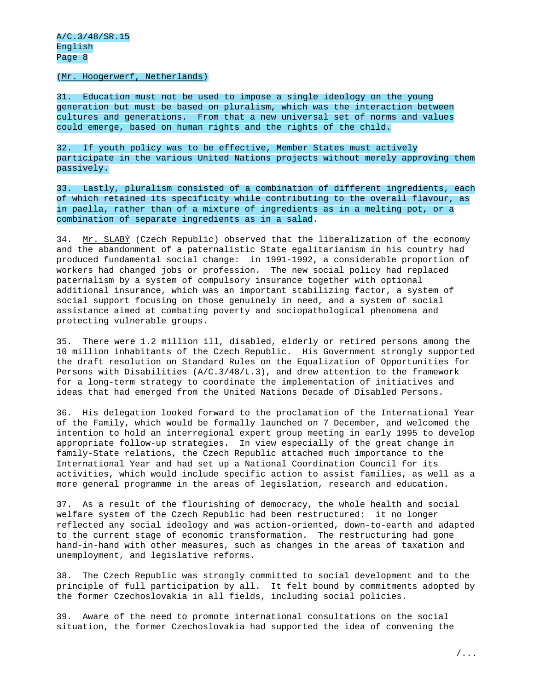## (Mr. Hoogerwerf, Netherlands)

31. Education must not be used to impose a single ideology on the young generation but must be based on pluralism, which was the interaction between cultures and generations. From that a new universal set of norms and values could emerge, based on human rights and the rights of the child.

32. If youth policy was to be effective, Member States must actively participate in the various United Nations projects without merely approving them passively.

33. Lastly, pluralism consisted of a combination of different ingredients, each of which retained its specificity while contributing to the overall flavour, as in paella, rather than of a mixture of ingredients as in a melting pot, or a combination of separate ingredients as in a salad.

34. Mr. SLABÝ (Czech Republic) observed that the liberalization of the economy and the abandonment of a paternalistic State egalitarianism in his country had produced fundamental social change: in 1991-1992, a considerable proportion of workers had changed jobs or profession. The new social policy had replaced paternalism by a system of compulsory insurance together with optional additional insurance, which was an important stabilizing factor, a system of social support focusing on those genuinely in need, and a system of social assistance aimed at combating poverty and sociopathological phenomena and protecting vulnerable groups.

35. There were 1.2 million ill, disabled, elderly or retired persons among the 10 million inhabitants of the Czech Republic. His Government strongly supported the draft resolution on Standard Rules on the Equalization of Opportunities for Persons with Disabilities (A/C.3/48/L.3), and drew attention to the framework for a long-term strategy to coordinate the implementation of initiatives and ideas that had emerged from the United Nations Decade of Disabled Persons.

36. His delegation looked forward to the proclamation of the International Year of the Family, which would be formally launched on 7 December, and welcomed the intention to hold an interregional expert group meeting in early 1995 to develop appropriate follow-up strategies. In view especially of the great change in family-State relations, the Czech Republic attached much importance to the International Year and had set up a National Coordination Council for its activities, which would include specific action to assist families, as well as a more general programme in the areas of legislation, research and education.

37. As a result of the flourishing of democracy, the whole health and social welfare system of the Czech Republic had been restructured: it no longer reflected any social ideology and was action-oriented, down-to-earth and adapted to the current stage of economic transformation. The restructuring had gone hand-in-hand with other measures, such as changes in the areas of taxation and unemployment, and legislative reforms.

38. The Czech Republic was strongly committed to social development and to the principle of full participation by all. It felt bound by commitments adopted by the former Czechoslovakia in all fields, including social policies.

39. Aware of the need to promote international consultations on the social situation, the former Czechoslovakia had supported the idea of convening the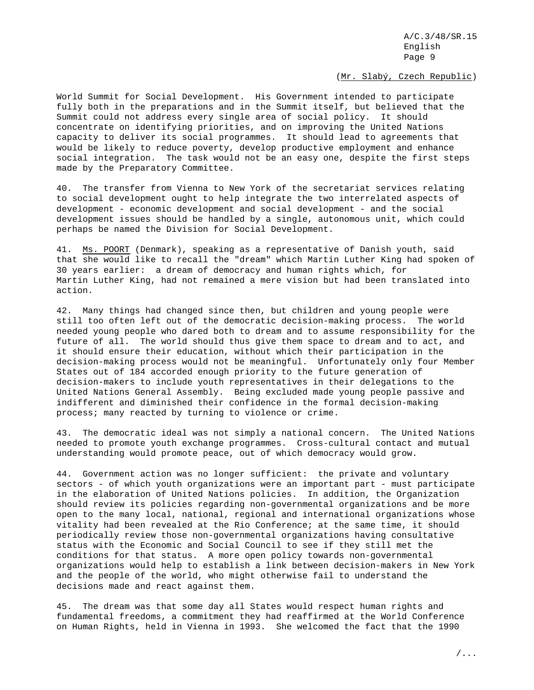(Mr. Slabý, Czech Republic)

World Summit for Social Development. His Government intended to participate fully both in the preparations and in the Summit itself, but believed that the Summit could not address every single area of social policy. It should concentrate on identifying priorities, and on improving the United Nations capacity to deliver its social programmes. It should lead to agreements that would be likely to reduce poverty, develop productive employment and enhance social integration. The task would not be an easy one, despite the first steps made by the Preparatory Committee.

40. The transfer from Vienna to New York of the secretariat services relating to social development ought to help integrate the two interrelated aspects of development - economic development and social development - and the social development issues should be handled by a single, autonomous unit, which could perhaps be named the Division for Social Development.

41. Ms. POORT (Denmark), speaking as a representative of Danish youth, said that she would like to recall the "dream" which Martin Luther King had spoken of 30 years earlier: a dream of democracy and human rights which, for Martin Luther King, had not remained a mere vision but had been translated into action.

42. Many things had changed since then, but children and young people were still too often left out of the democratic decision-making process. The world needed young people who dared both to dream and to assume responsibility for the future of all. The world should thus give them space to dream and to act, and it should ensure their education, without which their participation in the decision-making process would not be meaningful. Unfortunately only four Member States out of 184 accorded enough priority to the future generation of decision-makers to include youth representatives in their delegations to the United Nations General Assembly. Being excluded made young people passive and indifferent and diminished their confidence in the formal decision-making process; many reacted by turning to violence or crime.

43. The democratic ideal was not simply a national concern. The United Nations needed to promote youth exchange programmes. Cross-cultural contact and mutual understanding would promote peace, out of which democracy would grow.

44. Government action was no longer sufficient: the private and voluntary sectors - of which youth organizations were an important part - must participate in the elaboration of United Nations policies. In addition, the Organization should review its policies regarding non-governmental organizations and be more open to the many local, national, regional and international organizations whose vitality had been revealed at the Rio Conference; at the same time, it should periodically review those non-governmental organizations having consultative status with the Economic and Social Council to see if they still met the conditions for that status. A more open policy towards non-governmental organizations would help to establish a link between decision-makers in New York and the people of the world, who might otherwise fail to understand the decisions made and react against them.

45. The dream was that some day all States would respect human rights and fundamental freedoms, a commitment they had reaffirmed at the World Conference on Human Rights, held in Vienna in 1993. She welcomed the fact that the 1990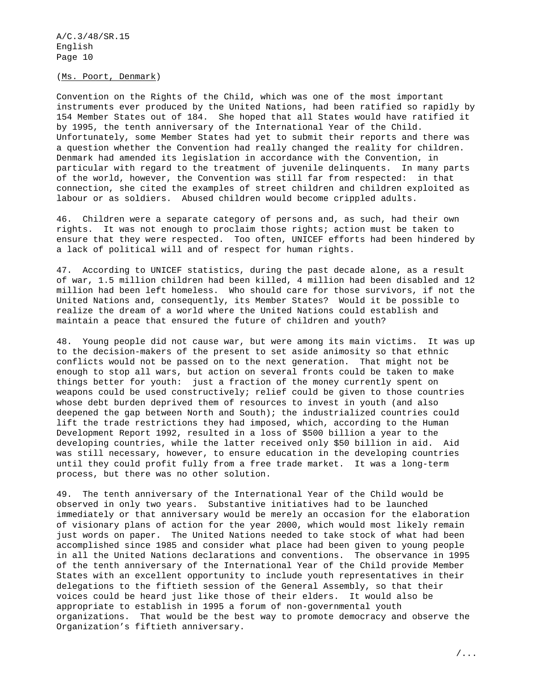(Ms. Poort, Denmark)

Convention on the Rights of the Child, which was one of the most important instruments ever produced by the United Nations, had been ratified so rapidly by 154 Member States out of 184. She hoped that all States would have ratified it by 1995, the tenth anniversary of the International Year of the Child. Unfortunately, some Member States had yet to submit their reports and there was a question whether the Convention had really changed the reality for children. Denmark had amended its legislation in accordance with the Convention, in particular with regard to the treatment of juvenile delinquents. In many parts of the world, however, the Convention was still far from respected: in that connection, she cited the examples of street children and children exploited as labour or as soldiers. Abused children would become crippled adults.

46. Children were a separate category of persons and, as such, had their own rights. It was not enough to proclaim those rights; action must be taken to ensure that they were respected. Too often, UNICEF efforts had been hindered by a lack of political will and of respect for human rights.

47. According to UNICEF statistics, during the past decade alone, as a result of war, 1.5 million children had been killed, 4 million had been disabled and 12 million had been left homeless. Who should care for those survivors, if not the United Nations and, consequently, its Member States? Would it be possible to realize the dream of a world where the United Nations could establish and maintain a peace that ensured the future of children and youth?

48. Young people did not cause war, but were among its main victims. It was up to the decision-makers of the present to set aside animosity so that ethnic conflicts would not be passed on to the next generation. That might not be enough to stop all wars, but action on several fronts could be taken to make things better for youth: just a fraction of the money currently spent on weapons could be used constructively; relief could be given to those countries whose debt burden deprived them of resources to invest in youth (and also deepened the gap between North and South); the industrialized countries could lift the trade restrictions they had imposed, which, according to the Human Development Report 1992, resulted in a loss of \$500 billion a year to the developing countries, while the latter received only \$50 billion in aid. Aid was still necessary, however, to ensure education in the developing countries until they could profit fully from a free trade market. It was a long-term process, but there was no other solution.

49. The tenth anniversary of the International Year of the Child would be observed in only two years. Substantive initiatives had to be launched immediately or that anniversary would be merely an occasion for the elaboration of visionary plans of action for the year 2000, which would most likely remain just words on paper. The United Nations needed to take stock of what had been accomplished since 1985 and consider what place had been given to young people in all the United Nations declarations and conventions. The observance in 1995 of the tenth anniversary of the International Year of the Child provide Member States with an excellent opportunity to include youth representatives in their delegations to the fiftieth session of the General Assembly, so that their voices could be heard just like those of their elders. It would also be appropriate to establish in 1995 a forum of non-governmental youth organizations. That would be the best way to promote democracy and observe the Organization's fiftieth anniversary.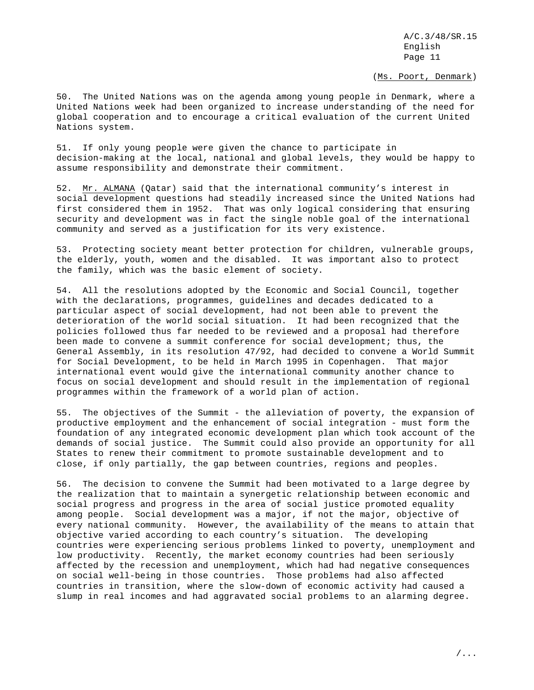(Ms. Poort, Denmark)

50. The United Nations was on the agenda among young people in Denmark, where a United Nations week had been organized to increase understanding of the need for global cooperation and to encourage a critical evaluation of the current United Nations system.

51. If only young people were given the chance to participate in decision-making at the local, national and global levels, they would be happy to assume responsibility and demonstrate their commitment.

52. Mr. ALMANA (Qatar) said that the international community's interest in social development questions had steadily increased since the United Nations had first considered them in 1952. That was only logical considering that ensuring security and development was in fact the single noble goal of the international community and served as a justification for its very existence.

53. Protecting society meant better protection for children, vulnerable groups, the elderly, youth, women and the disabled. It was important also to protect the family, which was the basic element of society.

54. All the resolutions adopted by the Economic and Social Council, together with the declarations, programmes, guidelines and decades dedicated to a particular aspect of social development, had not been able to prevent the deterioration of the world social situation. It had been recognized that the policies followed thus far needed to be reviewed and a proposal had therefore been made to convene a summit conference for social development; thus, the General Assembly, in its resolution 47/92, had decided to convene a World Summit for Social Development, to be held in March 1995 in Copenhagen. That major international event would give the international community another chance to focus on social development and should result in the implementation of regional programmes within the framework of a world plan of action.

55. The objectives of the Summit - the alleviation of poverty, the expansion of productive employment and the enhancement of social integration - must form the foundation of any integrated economic development plan which took account of the demands of social justice. The Summit could also provide an opportunity for all States to renew their commitment to promote sustainable development and to close, if only partially, the gap between countries, regions and peoples.

56. The decision to convene the Summit had been motivated to a large degree by the realization that to maintain a synergetic relationship between economic and social progress and progress in the area of social justice promoted equality among people. Social development was a major, if not the major, objective of every national community. However, the availability of the means to attain that objective varied according to each country's situation. The developing countries were experiencing serious problems linked to poverty, unemployment and low productivity. Recently, the market economy countries had been seriously affected by the recession and unemployment, which had had negative consequences on social well-being in those countries. Those problems had also affected countries in transition, where the slow-down of economic activity had caused a slump in real incomes and had aggravated social problems to an alarming degree.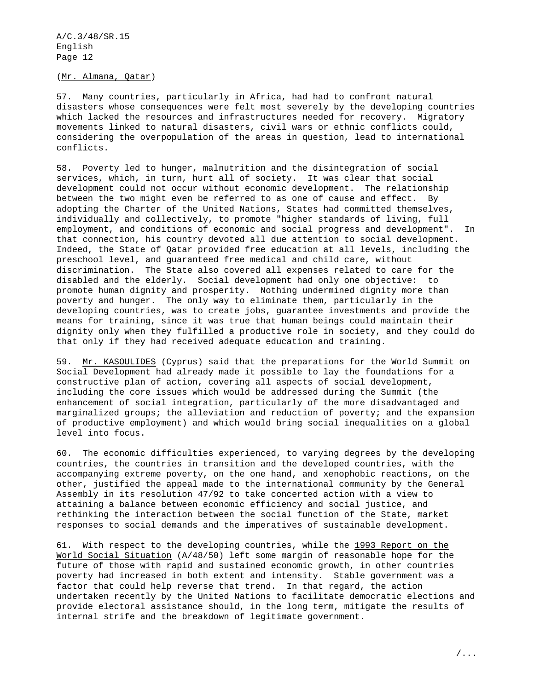## (Mr. Almana, Qatar)

57. Many countries, particularly in Africa, had had to confront natural disasters whose consequences were felt most severely by the developing countries which lacked the resources and infrastructures needed for recovery. Migratory movements linked to natural disasters, civil wars or ethnic conflicts could, considering the overpopulation of the areas in question, lead to international conflicts.

58. Poverty led to hunger, malnutrition and the disintegration of social services, which, in turn, hurt all of society. It was clear that social development could not occur without economic development. The relationship between the two might even be referred to as one of cause and effect. By adopting the Charter of the United Nations, States had committed themselves, individually and collectively, to promote "higher standards of living, full employment, and conditions of economic and social progress and development". In that connection, his country devoted all due attention to social development. Indeed, the State of Qatar provided free education at all levels, including the preschool level, and guaranteed free medical and child care, without discrimination. The State also covered all expenses related to care for the disabled and the elderly. Social development had only one objective: to promote human dignity and prosperity. Nothing undermined dignity more than poverty and hunger. The only way to eliminate them, particularly in the developing countries, was to create jobs, guarantee investments and provide the means for training, since it was true that human beings could maintain their dignity only when they fulfilled a productive role in society, and they could do that only if they had received adequate education and training.

59. Mr. KASOULIDES (Cyprus) said that the preparations for the World Summit on Social Development had already made it possible to lay the foundations for a constructive plan of action, covering all aspects of social development, including the core issues which would be addressed during the Summit (the enhancement of social integration, particularly of the more disadvantaged and marginalized groups; the alleviation and reduction of poverty; and the expansion of productive employment) and which would bring social inequalities on a global level into focus.

60. The economic difficulties experienced, to varying degrees by the developing countries, the countries in transition and the developed countries, with the accompanying extreme poverty, on the one hand, and xenophobic reactions, on the other, justified the appeal made to the international community by the General Assembly in its resolution 47/92 to take concerted action with a view to attaining a balance between economic efficiency and social justice, and rethinking the interaction between the social function of the State, market responses to social demands and the imperatives of sustainable development.

61. With respect to the developing countries, while the 1993 Report on the World Social Situation (A/48/50) left some margin of reasonable hope for the future of those with rapid and sustained economic growth, in other countries poverty had increased in both extent and intensity. Stable government was a factor that could help reverse that trend. In that regard, the action undertaken recently by the United Nations to facilitate democratic elections and provide electoral assistance should, in the long term, mitigate the results of internal strife and the breakdown of legitimate government.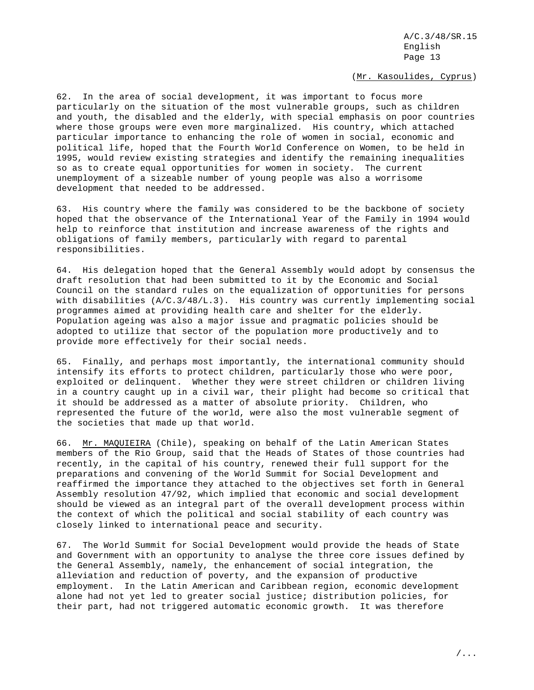(Mr. Kasoulides, Cyprus)

62. In the area of social development, it was important to focus more particularly on the situation of the most vulnerable groups, such as children and youth, the disabled and the elderly, with special emphasis on poor countries where those groups were even more marginalized. His country, which attached particular importance to enhancing the role of women in social, economic and political life, hoped that the Fourth World Conference on Women, to be held in 1995, would review existing strategies and identify the remaining inequalities so as to create equal opportunities for women in society. The current unemployment of a sizeable number of young people was also a worrisome development that needed to be addressed.

63. His country where the family was considered to be the backbone of society hoped that the observance of the International Year of the Family in 1994 would help to reinforce that institution and increase awareness of the rights and obligations of family members, particularly with regard to parental responsibilities.

64. His delegation hoped that the General Assembly would adopt by consensus the draft resolution that had been submitted to it by the Economic and Social Council on the standard rules on the equalization of opportunities for persons with disabilities (A/C.3/48/L.3). His country was currently implementing social programmes aimed at providing health care and shelter for the elderly. Population ageing was also a major issue and pragmatic policies should be adopted to utilize that sector of the population more productively and to provide more effectively for their social needs.

65. Finally, and perhaps most importantly, the international community should intensify its efforts to protect children, particularly those who were poor, exploited or delinquent. Whether they were street children or children living in a country caught up in a civil war, their plight had become so critical that it should be addressed as a matter of absolute priority. Children, who represented the future of the world, were also the most vulnerable segment of the societies that made up that world.

66. Mr. MAQUIEIRA (Chile), speaking on behalf of the Latin American States members of the Rio Group, said that the Heads of States of those countries had recently, in the capital of his country, renewed their full support for the preparations and convening of the World Summit for Social Development and reaffirmed the importance they attached to the objectives set forth in General Assembly resolution 47/92, which implied that economic and social development should be viewed as an integral part of the overall development process within the context of which the political and social stability of each country was closely linked to international peace and security.

67. The World Summit for Social Development would provide the heads of State and Government with an opportunity to analyse the three core issues defined by the General Assembly, namely, the enhancement of social integration, the alleviation and reduction of poverty, and the expansion of productive employment. In the Latin American and Caribbean region, economic development alone had not yet led to greater social justice; distribution policies, for their part, had not triggered automatic economic growth. It was therefore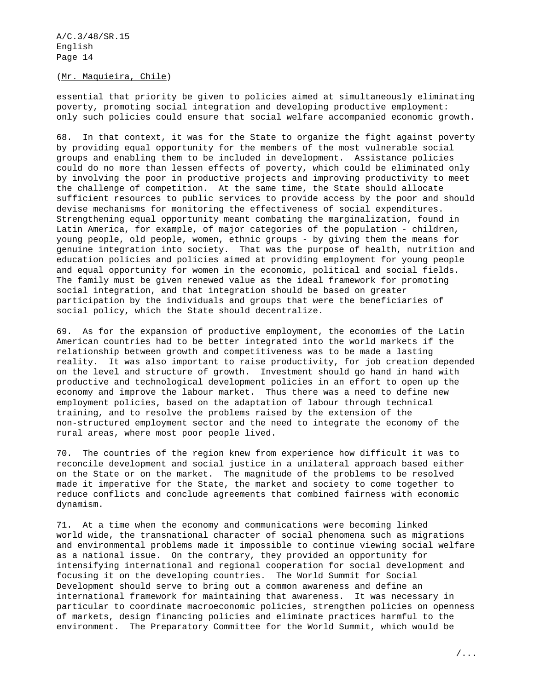## (Mr. Maquieira, Chile)

essential that priority be given to policies aimed at simultaneously eliminating poverty, promoting social integration and developing productive employment: only such policies could ensure that social welfare accompanied economic growth.

68. In that context, it was for the State to organize the fight against poverty by providing equal opportunity for the members of the most vulnerable social groups and enabling them to be included in development. Assistance policies could do no more than lessen effects of poverty, which could be eliminated only by involving the poor in productive projects and improving productivity to meet the challenge of competition. At the same time, the State should allocate sufficient resources to public services to provide access by the poor and should devise mechanisms for monitoring the effectiveness of social expenditures. Strengthening equal opportunity meant combating the marginalization, found in Latin America, for example, of major categories of the population - children, young people, old people, women, ethnic groups - by giving them the means for genuine integration into society. That was the purpose of health, nutrition and education policies and policies aimed at providing employment for young people and equal opportunity for women in the economic, political and social fields. The family must be given renewed value as the ideal framework for promoting social integration, and that integration should be based on greater participation by the individuals and groups that were the beneficiaries of social policy, which the State should decentralize.

69. As for the expansion of productive employment, the economies of the Latin American countries had to be better integrated into the world markets if the relationship between growth and competitiveness was to be made a lasting reality. It was also important to raise productivity, for job creation depended on the level and structure of growth. Investment should go hand in hand with productive and technological development policies in an effort to open up the economy and improve the labour market. Thus there was a need to define new employment policies, based on the adaptation of labour through technical training, and to resolve the problems raised by the extension of the non-structured employment sector and the need to integrate the economy of the rural areas, where most poor people lived.

70. The countries of the region knew from experience how difficult it was to reconcile development and social justice in a unilateral approach based either on the State or on the market. The magnitude of the problems to be resolved made it imperative for the State, the market and society to come together to reduce conflicts and conclude agreements that combined fairness with economic dynamism.

71. At a time when the economy and communications were becoming linked world wide, the transnational character of social phenomena such as migrations and environmental problems made it impossible to continue viewing social welfare as a national issue. On the contrary, they provided an opportunity for intensifying international and regional cooperation for social development and focusing it on the developing countries. The World Summit for Social Development should serve to bring out a common awareness and define an international framework for maintaining that awareness. It was necessary in particular to coordinate macroeconomic policies, strengthen policies on openness of markets, design financing policies and eliminate practices harmful to the environment. The Preparatory Committee for the World Summit, which would be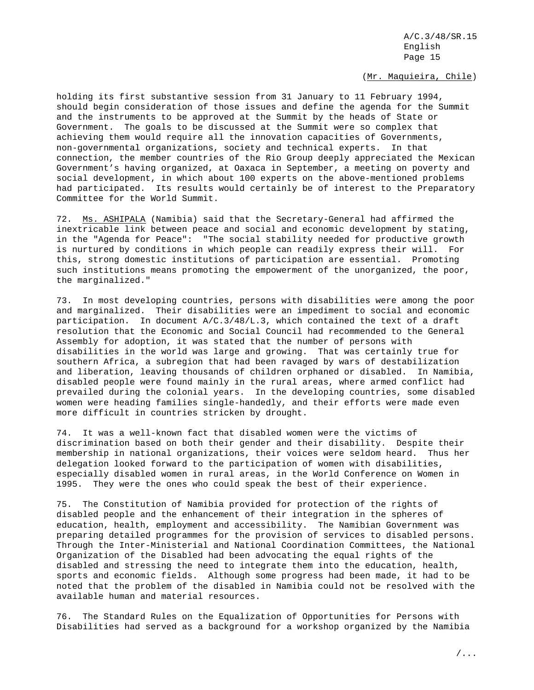# (Mr. Maquieira, Chile)

holding its first substantive session from 31 January to 11 February 1994, should begin consideration of those issues and define the agenda for the Summit and the instruments to be approved at the Summit by the heads of State or Government. The goals to be discussed at the Summit were so complex that achieving them would require all the innovation capacities of Governments, non-governmental organizations, society and technical experts. In that connection, the member countries of the Rio Group deeply appreciated the Mexican Government's having organized, at Oaxaca in September, a meeting on poverty and social development, in which about 100 experts on the above-mentioned problems had participated. Its results would certainly be of interest to the Preparatory Committee for the World Summit.

72. Ms. ASHIPALA (Namibia) said that the Secretary-General had affirmed the inextricable link between peace and social and economic development by stating, in the "Agenda for Peace": "The social stability needed for productive growth is nurtured by conditions in which people can readily express their will. For this, strong domestic institutions of participation are essential. Promoting such institutions means promoting the empowerment of the unorganized, the poor, the marginalized."

73. In most developing countries, persons with disabilities were among the poor and marginalized. Their disabilities were an impediment to social and economic participation. In document A/C.3/48/L.3, which contained the text of a draft resolution that the Economic and Social Council had recommended to the General Assembly for adoption, it was stated that the number of persons with disabilities in the world was large and growing. That was certainly true for southern Africa, a subregion that had been ravaged by wars of destabilization and liberation, leaving thousands of children orphaned or disabled. In Namibia, disabled people were found mainly in the rural areas, where armed conflict had prevailed during the colonial years. In the developing countries, some disabled women were heading families single-handedly, and their efforts were made even more difficult in countries stricken by drought.

74. It was a well-known fact that disabled women were the victims of discrimination based on both their gender and their disability. Despite their membership in national organizations, their voices were seldom heard. Thus her delegation looked forward to the participation of women with disabilities, especially disabled women in rural areas, in the World Conference on Women in 1995. They were the ones who could speak the best of their experience.

75. The Constitution of Namibia provided for protection of the rights of disabled people and the enhancement of their integration in the spheres of education, health, employment and accessibility. The Namibian Government was preparing detailed programmes for the provision of services to disabled persons. Through the Inter-Ministerial and National Coordination Committees, the National Organization of the Disabled had been advocating the equal rights of the disabled and stressing the need to integrate them into the education, health, sports and economic fields. Although some progress had been made, it had to be noted that the problem of the disabled in Namibia could not be resolved with the available human and material resources.

76. The Standard Rules on the Equalization of Opportunities for Persons with Disabilities had served as a background for a workshop organized by the Namibia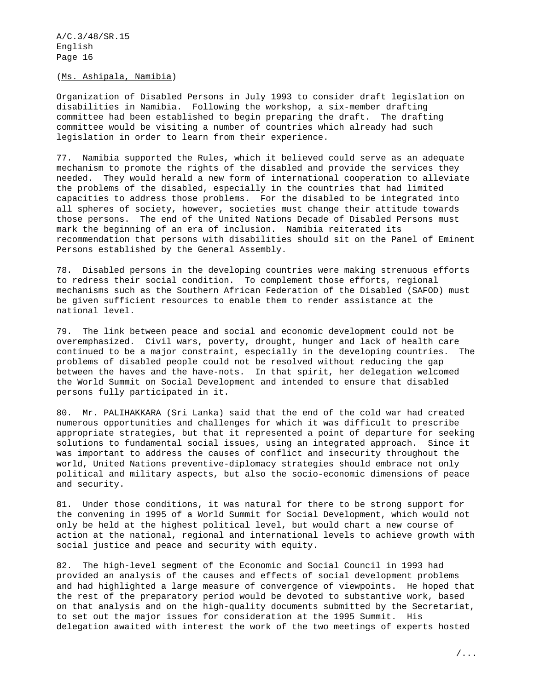## (Ms. Ashipala, Namibia)

Organization of Disabled Persons in July 1993 to consider draft legislation on disabilities in Namibia. Following the workshop, a six-member drafting committee had been established to begin preparing the draft. The drafting committee would be visiting a number of countries which already had such legislation in order to learn from their experience.

77. Namibia supported the Rules, which it believed could serve as an adequate mechanism to promote the rights of the disabled and provide the services they needed. They would herald a new form of international cooperation to alleviate the problems of the disabled, especially in the countries that had limited capacities to address those problems. For the disabled to be integrated into all spheres of society, however, societies must change their attitude towards those persons. The end of the United Nations Decade of Disabled Persons must mark the beginning of an era of inclusion. Namibia reiterated its recommendation that persons with disabilities should sit on the Panel of Eminent Persons established by the General Assembly.

78. Disabled persons in the developing countries were making strenuous efforts to redress their social condition. To complement those efforts, regional mechanisms such as the Southern African Federation of the Disabled (SAFOD) must be given sufficient resources to enable them to render assistance at the national level.

79. The link between peace and social and economic development could not be overemphasized. Civil wars, poverty, drought, hunger and lack of health care continued to be a major constraint, especially in the developing countries. The problems of disabled people could not be resolved without reducing the gap between the haves and the have-nots. In that spirit, her delegation welcomed the World Summit on Social Development and intended to ensure that disabled persons fully participated in it.

80. Mr. PALIHAKKARA (Sri Lanka) said that the end of the cold war had created numerous opportunities and challenges for which it was difficult to prescribe appropriate strategies, but that it represented a point of departure for seeking solutions to fundamental social issues, using an integrated approach. Since it was important to address the causes of conflict and insecurity throughout the world, United Nations preventive-diplomacy strategies should embrace not only political and military aspects, but also the socio-economic dimensions of peace and security.

81. Under those conditions, it was natural for there to be strong support for the convening in 1995 of a World Summit for Social Development, which would not only be held at the highest political level, but would chart a new course of action at the national, regional and international levels to achieve growth with social justice and peace and security with equity.

82. The high-level segment of the Economic and Social Council in 1993 had provided an analysis of the causes and effects of social development problems and had highlighted a large measure of convergence of viewpoints. He hoped that the rest of the preparatory period would be devoted to substantive work, based on that analysis and on the high-quality documents submitted by the Secretariat, to set out the major issues for consideration at the 1995 Summit. His delegation awaited with interest the work of the two meetings of experts hosted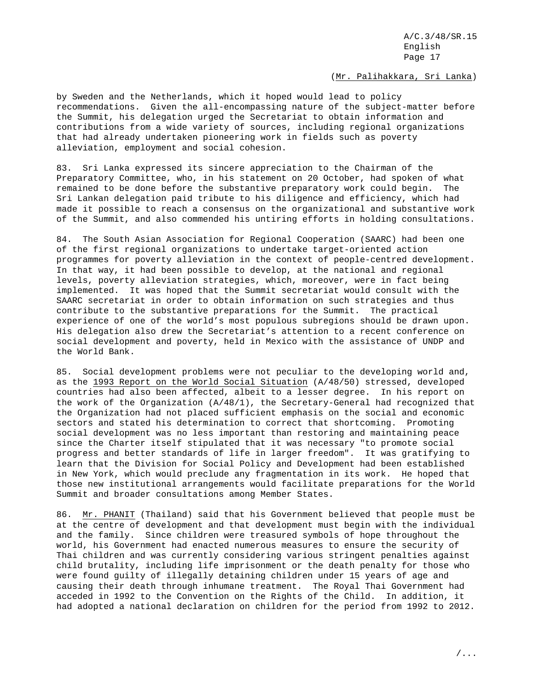## (Mr. Palihakkara, Sri Lanka)

by Sweden and the Netherlands, which it hoped would lead to policy recommendations. Given the all-encompassing nature of the subject-matter before the Summit, his delegation urged the Secretariat to obtain information and contributions from a wide variety of sources, including regional organizations that had already undertaken pioneering work in fields such as poverty alleviation, employment and social cohesion.

83. Sri Lanka expressed its sincere appreciation to the Chairman of the Preparatory Committee, who, in his statement on 20 October, had spoken of what remained to be done before the substantive preparatory work could begin. The Sri Lankan delegation paid tribute to his diligence and efficiency, which had made it possible to reach a consensus on the organizational and substantive work of the Summit, and also commended his untiring efforts in holding consultations.

84. The South Asian Association for Regional Cooperation (SAARC) had been one of the first regional organizations to undertake target-oriented action programmes for poverty alleviation in the context of people-centred development. In that way, it had been possible to develop, at the national and regional levels, poverty alleviation strategies, which, moreover, were in fact being implemented. It was hoped that the Summit secretariat would consult with the SAARC secretariat in order to obtain information on such strategies and thus contribute to the substantive preparations for the Summit. The practical experience of one of the world's most populous subregions should be drawn upon. His delegation also drew the Secretariat's attention to a recent conference on social development and poverty, held in Mexico with the assistance of UNDP and the World Bank.

85. Social development problems were not peculiar to the developing world and, as the 1993 Report on the World Social Situation (A/48/50) stressed, developed countries had also been affected, albeit to a lesser degree. In his report on the work of the Organization (A/48/1), the Secretary-General had recognized that the Organization had not placed sufficient emphasis on the social and economic sectors and stated his determination to correct that shortcoming. Promoting social development was no less important than restoring and maintaining peace since the Charter itself stipulated that it was necessary "to promote social progress and better standards of life in larger freedom". It was gratifying to learn that the Division for Social Policy and Development had been established in New York, which would preclude any fragmentation in its work. He hoped that those new institutional arrangements would facilitate preparations for the World Summit and broader consultations among Member States.

86. Mr. PHANIT (Thailand) said that his Government believed that people must be at the centre of development and that development must begin with the individual and the family. Since children were treasured symbols of hope throughout the world, his Government had enacted numerous measures to ensure the security of Thai children and was currently considering various stringent penalties against child brutality, including life imprisonment or the death penalty for those who were found guilty of illegally detaining children under 15 years of age and causing their death through inhumane treatment. The Royal Thai Government had acceded in 1992 to the Convention on the Rights of the Child. In addition, it had adopted a national declaration on children for the period from 1992 to 2012.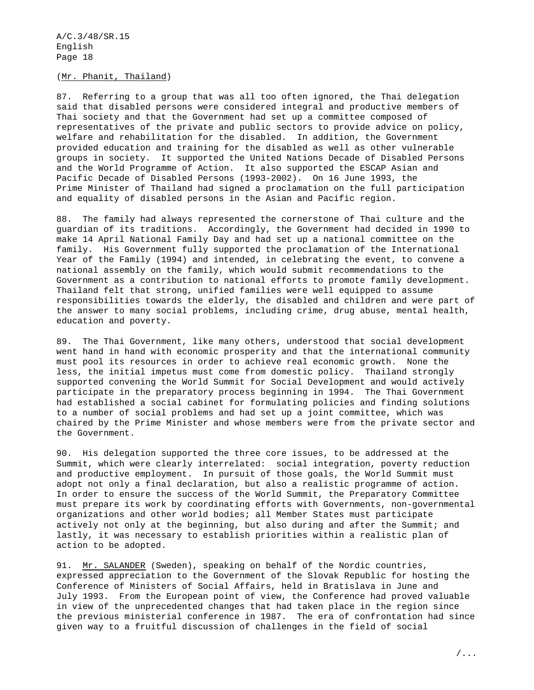# (Mr. Phanit, Thailand)

87. Referring to a group that was all too often ignored, the Thai delegation said that disabled persons were considered integral and productive members of Thai society and that the Government had set up a committee composed of representatives of the private and public sectors to provide advice on policy, welfare and rehabilitation for the disabled. In addition, the Government provided education and training for the disabled as well as other vulnerable groups in society. It supported the United Nations Decade of Disabled Persons and the World Programme of Action. It also supported the ESCAP Asian and Pacific Decade of Disabled Persons (1993-2002). On 16 June 1993, the Prime Minister of Thailand had signed a proclamation on the full participation and equality of disabled persons in the Asian and Pacific region.

88. The family had always represented the cornerstone of Thai culture and the guardian of its traditions. Accordingly, the Government had decided in 1990 to make 14 April National Family Day and had set up a national committee on the family. His Government fully supported the proclamation of the International Year of the Family (1994) and intended, in celebrating the event, to convene a national assembly on the family, which would submit recommendations to the Government as a contribution to national efforts to promote family development. Thailand felt that strong, unified families were well equipped to assume responsibilities towards the elderly, the disabled and children and were part of the answer to many social problems, including crime, drug abuse, mental health, education and poverty.

89. The Thai Government, like many others, understood that social development went hand in hand with economic prosperity and that the international community must pool its resources in order to achieve real economic growth. None the less, the initial impetus must come from domestic policy. Thailand strongly supported convening the World Summit for Social Development and would actively participate in the preparatory process beginning in 1994. The Thai Government had established a social cabinet for formulating policies and finding solutions to a number of social problems and had set up a joint committee, which was chaired by the Prime Minister and whose members were from the private sector and the Government.

90. His delegation supported the three core issues, to be addressed at the Summit, which were clearly interrelated: social integration, poverty reduction and productive employment. In pursuit of those goals, the World Summit must adopt not only a final declaration, but also a realistic programme of action. In order to ensure the success of the World Summit, the Preparatory Committee must prepare its work by coordinating efforts with Governments, non-governmental organizations and other world bodies; all Member States must participate actively not only at the beginning, but also during and after the Summit; and lastly, it was necessary to establish priorities within a realistic plan of action to be adopted.

91. Mr. SALANDER (Sweden), speaking on behalf of the Nordic countries, expressed appreciation to the Government of the Slovak Republic for hosting the Conference of Ministers of Social Affairs, held in Bratislava in June and July 1993. From the European point of view, the Conference had proved valuable in view of the unprecedented changes that had taken place in the region since the previous ministerial conference in 1987. The era of confrontation had since given way to a fruitful discussion of challenges in the field of social